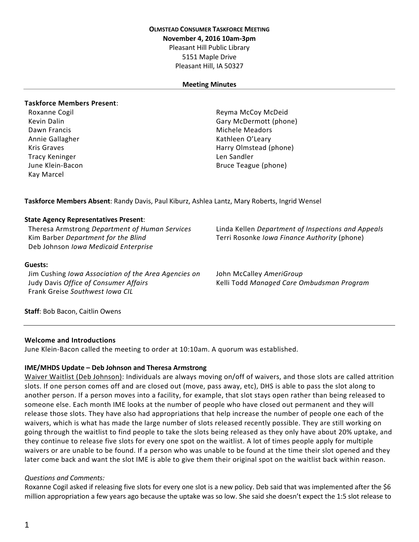## **OLMSTEAD CONSUMER TASKFORCE MEETING**

**November 4, 2016 10am-3pm**

Pleasant Hill Public Library

5151 Maple Drive Pleasant Hill, IA 50327

#### **Meeting Minutes**

#### **Taskforce Members Present**:

Annie Gallagher Kathleen O'Leary Tracy Keninger Len Sandler Len Sandler Kay Marcel

Roxanne Cogil **Roxanne Cogil Reyma McCoy McDeid** Kevin Dalin Gary McDermott (phone) Dawn Francis **Michele Meadors** Michele Meadors Kris Graves Harry Olmstead (phone) June Klein-Bacon **Bruce Teague (phone)** Bruce Teague (phone)

**Taskforce Members Absent**: Randy Davis, Paul Kiburz, Ashlea Lantz, Mary Roberts, Ingrid Wensel

### **State Agency Representatives Present**:

Kim Barber *Department for the Blind* Terri Rosonke *Iowa Finance Authority* (phone) Deb Johnson *Iowa Medicaid Enterprise*

Theresa Armstrong *Department of Human Services* Linda Kellen *Department of Inspections and Appeals*

#### **Guests:**

Jim Cushing *Iowa Association of the Area Agencies on* **Judy Davis Office of Consumer Affairs** Frank Greise *Southwest Iowa CIL*

John McCalley *AmeriGroup* Judy Davis *Office of Consumer Affairs* Kelli Todd *Managed Care Ombudsman Program*

**Staff**: Bob Bacon, Caitlin Owens

#### **Welcome and Introductions**

June Klein-Bacon called the meeting to order at 10:10am. A quorum was established.

#### **IME/MHDS Update – Deb Johnson and Theresa Armstrong**

Waiver Waitlist (Deb Johnson): Individuals are always moving on/off of waivers, and those slots are called attrition slots. If one person comes off and are closed out (move, pass away, etc), DHS is able to pass the slot along to another person. If a person moves into a facility, for example, that slot stays open rather than being released to someone else. Each month IME looks at the number of people who have closed out permanent and they will release those slots. They have also had appropriations that help increase the number of people one each of the waivers, which is what has made the large number of slots released recently possible. They are still working on going through the waitlist to find people to take the slots being released as they only have about 20% uptake, and they continue to release five slots for every one spot on the waitlist. A lot of times people apply for multiple waivers or are unable to be found. If a person who was unable to be found at the time their slot opened and they later come back and want the slot IME is able to give them their original spot on the waitlist back within reason.

#### *Questions and Comments:*

Roxanne Cogil asked if releasing five slots for every one slot is a new policy. Deb said that was implemented after the \$6 million appropriation a few years ago because the uptake was so low. She said she doesn't expect the 1:5 slot release to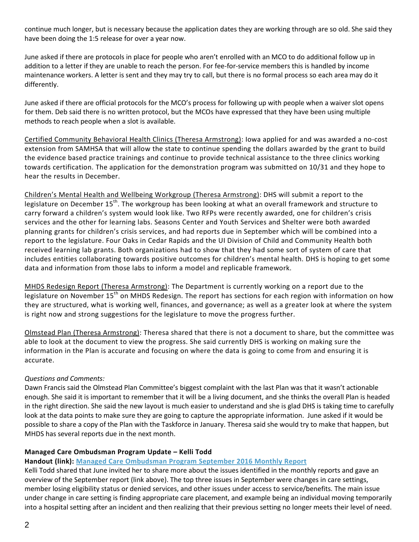continue much longer, but is necessary because the application dates they are working through are so old. She said they have been doing the 1:5 release for over a year now.

June asked if there are protocols in place for people who aren't enrolled with an MCO to do additional follow up in addition to a letter if they are unable to reach the person. For fee-for-service members this is handled by income maintenance workers. A letter is sent and they may try to call, but there is no formal process so each area may do it differently.

June asked if there are official protocols for the MCO's process for following up with people when a waiver slot opens for them. Deb said there is no written protocol, but the MCOs have expressed that they have been using multiple methods to reach people when a slot is available.

Certified Community Behavioral Health Clinics (Theresa Armstrong): Iowa applied for and was awarded a no-cost extension from SAMHSA that will allow the state to continue spending the dollars awarded by the grant to build the evidence based practice trainings and continue to provide technical assistance to the three clinics working towards certification. The application for the demonstration program was submitted on 10/31 and they hope to hear the results in December.

Children's Mental Health and Wellbeing Workgroup (Theresa Armstrong): DHS will submit a report to the legislature on December 15<sup>th</sup>. The workgroup has been looking at what an overall framework and structure to carry forward a children's system would look like. Two RFPs were recently awarded, one for children's crisis services and the other for learning labs. Seasons Center and Youth Services and Shelter were both awarded planning grants for children's crisis services, and had reports due in September which will be combined into a report to the legislature. Four Oaks in Cedar Rapids and the UI Division of Child and Community Health both received learning lab grants. Both organizations had to show that they had some sort of system of care that includes entities collaborating towards positive outcomes for children's mental health. DHS is hoping to get some data and information from those labs to inform a model and replicable framework.

MHDS Redesign Report (Theresa Armstrong): The Department is currently working on a report due to the legislature on November 15<sup>th</sup> on MHDS Redesign. The report has sections for each region with information on how they are structured, what is working well, finances, and governance; as well as a greater look at where the system is right now and strong suggestions for the legislature to move the progress further.

Olmstead Plan (Theresa Armstrong): Theresa shared that there is not a document to share, but the committee was able to look at the document to view the progress. She said currently DHS is working on making sure the information in the Plan is accurate and focusing on where the data is going to come from and ensuring it is accurate.

### *Questions and Comments:*

Dawn Francis said the Olmstead Plan Committee's biggest complaint with the last Plan was that it wasn't actionable enough. She said it is important to remember that it will be a living document, and she thinks the overall Plan is headed in the right direction. She said the new layout is much easier to understand and she is glad DHS is taking time to carefully look at the data points to make sure they are going to capture the appropriate information. June asked if it would be possible to share a copy of the Plan with the Taskforce in January. Theresa said she would try to make that happen, but MHDS has several reports due in the next month.

### **Managed Care Ombudsman Program Update – Kelli Todd**

### **Handout (link): Managed Care [Ombudsman](https://www.iowaaging.gov/sites/files/aging/documents/MCOP%20Monthly%20Report_092016.pdf) Program September 2016 Monthly Report**

Kelli Todd shared that June invited her to share more about the issues identified in the monthly reports and gave an overview of the September report (link above). The top three issues in September were changes in care settings, member losing eligibility status or denied services, and other issues under access to service/benefits. The main issue under change in care setting is finding appropriate care placement, and example being an individual moving temporarily into a hospital setting after an incident and then realizing that their previous setting no longer meets their level of need.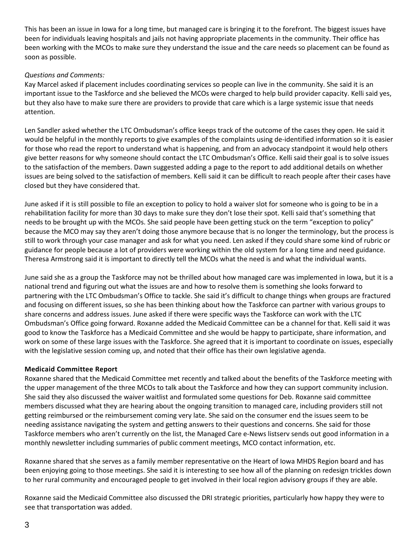This has been an issue in Iowa for a long time, but managed care is bringing it to the forefront. The biggest issues have been for individuals leaving hospitals and jails not having appropriate placements in the community. Their office has been working with the MCOs to make sure they understand the issue and the care needs so placement can be found as soon as possible.

# *Questions and Comments:*

Kay Marcel asked if placement includes coordinating services so people can live in the community. She said it is an important issue to the Taskforce and she believed the MCOs were charged to help build provider capacity. Kelli said yes, but they also have to make sure there are providers to provide that care which is a large systemic issue that needs attention.

Len Sandler asked whether the LTC Ombudsman's office keeps track of the outcome of the cases they open. He said it would be helpful in the monthly reports to give examples of the complaints using de-identified information so it is easier for those who read the report to understand what is happening, and from an advocacy standpoint it would help others give better reasons for why someone should contact the LTC Ombudsman's Office. Kelli said their goal is to solve issues to the satisfaction of the members. Dawn suggested adding a page to the report to add additional details on whether issues are being solved to the satisfaction of members. Kelli said it can be difficult to reach people after their cases have closed but they have considered that.

June asked if it is still possible to file an exception to policy to hold a waiver slot for someone who is going to be in a rehabilitation facility for more than 30 days to make sure they don't lose their spot. Kelli said that's something that needs to be brought up with the MCOs. She said people have been getting stuck on the term "exception to policy" because the MCO may say they aren't doing those anymore because that is no longer the terminology, but the process is still to work through your case manager and ask for what you need. Len asked if they could share some kind of rubric or guidance for people because a lot of providers were working within the old system for a long time and need guidance. Theresa Armstrong said it is important to directly tell the MCOs what the need is and what the individual wants.

June said she as a group the Taskforce may not be thrilled about how managed care was implemented in Iowa, but it is a national trend and figuring out what the issues are and how to resolve them is something she looks forward to partnering with the LTC Ombudsman's Office to tackle. She said it's difficult to change things when groups are fractured and focusing on different issues, so she has been thinking about how the Taskforce can partner with various groups to share concerns and address issues. June asked if there were specific ways the Taskforce can work with the LTC Ombudsman's Office going forward. Roxanne added the Medicaid Committee can be a channel for that. Kelli said it was good to know the Taskforce has a Medicaid Committee and she would be happy to participate, share information, and work on some of these large issues with the Taskforce. She agreed that it is important to coordinate on issues, especially with the legislative session coming up, and noted that their office has their own legislative agenda.

### **Medicaid Committee Report**

Roxanne shared that the Medicaid Committee met recently and talked about the benefits of the Taskforce meeting with the upper management of the three MCOs to talk about the Taskforce and how they can support community inclusion. She said they also discussed the waiver waitlist and formulated some questions for Deb. Roxanne said committee members discussed what they are hearing about the ongoing transition to managed care, including providers still not getting reimbursed or the reimbursement coming very late. She said on the consumer end the issues seem to be needing assistance navigating the system and getting answers to their questions and concerns. She said for those Taskforce members who aren't currently on the list, the Managed Care e-News listserv sends out good information in a monthly newsletter including summaries of public comment meetings, MCO contact information, etc.

Roxanne shared that she serves as a family member representative on the Heart of Iowa MHDS Region board and has been enjoying going to those meetings. She said it is interesting to see how all of the planning on redesign trickles down to her rural community and encouraged people to get involved in their local region advisory groups if they are able.

Roxanne said the Medicaid Committee also discussed the DRI strategic priorities, particularly how happy they were to see that transportation was added.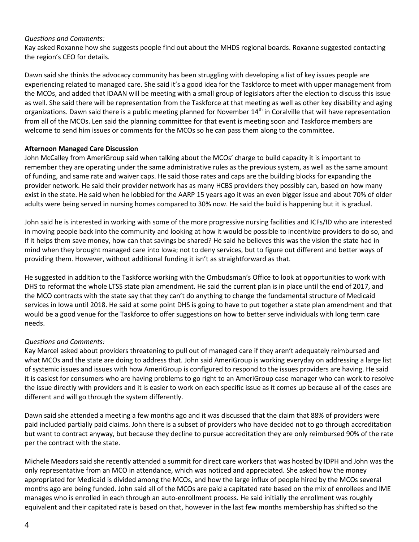### *Questions and Comments:*

Kay asked Roxanne how she suggests people find out about the MHDS regional boards. Roxanne suggested contacting the region's CEO for details.

Dawn said she thinks the advocacy community has been struggling with developing a list of key issues people are experiencing related to managed care. She said it's a good idea for the Taskforce to meet with upper management from the MCOs, and added that IDAAN will be meeting with a small group of legislators after the election to discuss this issue as well. She said there will be representation from the Taskforce at that meeting as well as other key disability and aging organizations. Dawn said there is a public meeting planned for November  $14<sup>th</sup>$  in Coralville that will have representation from all of the MCOs. Len said the planning committee for that event is meeting soon and Taskforce members are welcome to send him issues or comments for the MCOs so he can pass them along to the committee.

### **Afternoon Managed Care Discussion**

John McCalley from AmeriGroup said when talking about the MCOs' charge to build capacity it is important to remember they are operating under the same administrative rules as the previous system, as well as the same amount of funding, and same rate and waiver caps. He said those rates and caps are the building blocks for expanding the provider network. He said their provider network has as many HCBS providers they possibly can, based on how many exist in the state. He said when he lobbied for the AARP 15 years ago it was an even bigger issue and about 70% of older adults were being served in nursing homes compared to 30% now. He said the build is happening but it is gradual.

John said he is interested in working with some of the more progressive nursing facilities and ICFs/ID who are interested in moving people back into the community and looking at how it would be possible to incentivize providers to do so, and if it helps them save money, how can that savings be shared? He said he believes this was the vision the state had in mind when they brought managed care into Iowa; not to deny services, but to figure out different and better ways of providing them. However, without additional funding it isn't as straightforward as that.

He suggested in addition to the Taskforce working with the Ombudsman's Office to look at opportunities to work with DHS to reformat the whole LTSS state plan amendment. He said the current plan is in place until the end of 2017, and the MCO contracts with the state say that they can't do anything to change the fundamental structure of Medicaid services in Iowa until 2018. He said at some point DHS is going to have to put together a state plan amendment and that would be a good venue for the Taskforce to offer suggestions on how to better serve individuals with long term care needs.

### *Questions and Comments:*

Kay Marcel asked about providers threatening to pull out of managed care if they aren't adequately reimbursed and what MCOs and the state are doing to address that. John said AmeriGroup is working everyday on addressing a large list of systemic issues and issues with how AmeriGroup is configured to respond to the issues providers are having. He said it is easiest for consumers who are having problems to go right to an AmeriGroup case manager who can work to resolve the issue directly with providers and it is easier to work on each specific issue as it comes up because all of the cases are different and will go through the system differently.

Dawn said she attended a meeting a few months ago and it was discussed that the claim that 88% of providers were paid included partially paid claims. John there is a subset of providers who have decided not to go through accreditation but want to contract anyway, but because they decline to pursue accreditation they are only reimbursed 90% of the rate per the contract with the state.

Michele Meadors said she recently attended a summit for direct care workers that was hosted by IDPH and John was the only representative from an MCO in attendance, which was noticed and appreciated. She asked how the money appropriated for Medicaid is divided among the MCOs, and how the large influx of people hired by the MCOs several months ago are being funded. John said all of the MCOs are paid a capitated rate based on the mix of enrollees and IME manages who is enrolled in each through an auto-enrollment process. He said initially the enrollment was roughly equivalent and their capitated rate is based on that, however in the last few months membership has shifted so the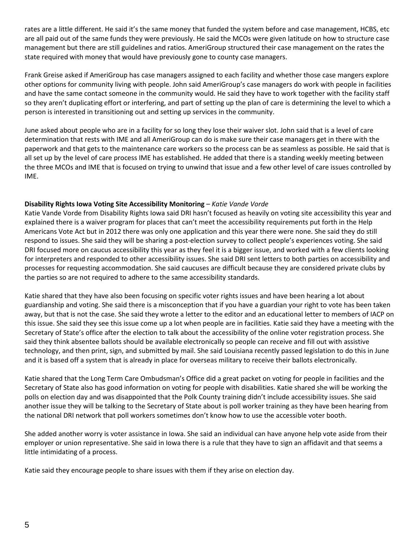rates are a little different. He said it's the same money that funded the system before and case management, HCBS, etc are all paid out of the same funds they were previously. He said the MCOs were given latitude on how to structure case management but there are still guidelines and ratios. AmeriGroup structured their case management on the rates the state required with money that would have previously gone to county case managers.

Frank Greise asked if AmeriGroup has case managers assigned to each facility and whether those case mangers explore other options for community living with people. John said AmeriGroup's case managers do work with people in facilities and have the same contact someone in the community would. He said they have to work together with the facility staff so they aren't duplicating effort or interfering, and part of setting up the plan of care is determining the level to which a person is interested in transitioning out and setting up services in the community.

June asked about people who are in a facility for so long they lose their waiver slot. John said that is a level of care determination that rests with IME and all AmeriGroup can do is make sure their case managers get in there with the paperwork and that gets to the maintenance care workers so the process can be as seamless as possible. He said that is all set up by the level of care process IME has established. He added that there is a standing weekly meeting between the three MCOs and IME that is focused on trying to unwind that issue and a few other level of care issues controlled by IME.

## **Disability Rights Iowa Voting Site Accessibility Monitoring** – *Katie Vande Vorde*

Katie Vande Vorde from Disability Rights Iowa said DRI hasn't focused as heavily on voting site accessibility this year and explained there is a waiver program for places that can't meet the accessibility requirements put forth in the Help Americans Vote Act but in 2012 there was only one application and this year there were none. She said they do still respond to issues. She said they will be sharing a post-election survey to collect people's experiences voting. She said DRI focused more on caucus accessibility this year as they feel it is a bigger issue, and worked with a few clients looking for interpreters and responded to other accessibility issues. She said DRI sent letters to both parties on accessibility and processes for requesting accommodation. She said caucuses are difficult because they are considered private clubs by the parties so are not required to adhere to the same accessibility standards.

Katie shared that they have also been focusing on specific voter rights issues and have been hearing a lot about guardianship and voting. She said there is a misconception that if you have a guardian your right to vote has been taken away, but that is not the case. She said they wrote a letter to the editor and an educational letter to members of IACP on this issue. She said they see this issue come up a lot when people are in facilities. Katie said they have a meeting with the Secretary of State's office after the election to talk about the accessibility of the online voter registration process. She said they think absentee ballots should be available electronically so people can receive and fill out with assistive technology, and then print, sign, and submitted by mail. She said Louisiana recently passed legislation to do this in June and it is based off a system that is already in place for overseas military to receive their ballots electronically.

Katie shared that the Long Term Care Ombudsman's Office did a great packet on voting for people in facilities and the Secretary of State also has good information on voting for people with disabilities. Katie shared she will be working the polls on election day and was disappointed that the Polk County training didn't include accessibility issues. She said another issue they will be talking to the Secretary of State about is poll worker training as they have been hearing from the national DRI network that poll workers sometimes don't know how to use the accessible voter booth.

She added another worry is voter assistance in Iowa. She said an individual can have anyone help vote aside from their employer or union representative. She said in Iowa there is a rule that they have to sign an affidavit and that seems a little intimidating of a process.

Katie said they encourage people to share issues with them if they arise on election day.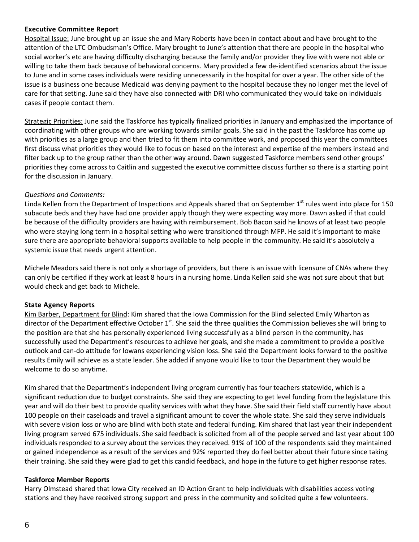## **Executive Committee Report**

Hospital Issue: June brought up an issue she and Mary Roberts have been in contact about and have brought to the attention of the LTC Ombudsman's Office. Mary brought to June's attention that there are people in the hospital who social worker's etc are having difficulty discharging because the family and/or provider they live with were not able or willing to take them back because of behavioral concerns. Mary provided a few de-identified scenarios about the issue to June and in some cases individuals were residing unnecessarily in the hospital for over a year. The other side of the issue is a business one because Medicaid was denying payment to the hospital because they no longer met the level of care for that setting. June said they have also connected with DRI who communicated they would take on individuals cases if people contact them.

Strategic Priorities: June said the Taskforce has typically finalized priorities in January and emphasized the importance of coordinating with other groups who are working towards similar goals. She said in the past the Taskforce has come up with priorities as a large group and then tried to fit them into committee work, and proposed this year the committees first discuss what priorities they would like to focus on based on the interest and expertise of the members instead and filter back up to the group rather than the other way around. Dawn suggested Taskforce members send other groups' priorities they come across to Caitlin and suggested the executive committee discuss further so there is a starting point for the discussion in January.

## *Questions and Comments:*

Linda Kellen from the Department of Inspections and Appeals shared that on September  $1^{st}$  rules went into place for 150 subacute beds and they have had one provider apply though they were expecting way more. Dawn asked if that could be because of the difficulty providers are having with reimbursement. Bob Bacon said he knows of at least two people who were staying long term in a hospital setting who were transitioned through MFP. He said it's important to make sure there are appropriate behavioral supports available to help people in the community. He said it's absolutely a systemic issue that needs urgent attention.

Michele Meadors said there is not only a shortage of providers, but there is an issue with licensure of CNAs where they can only be certified if they work at least 8 hours in a nursing home. Linda Kellen said she was not sure about that but would check and get back to Michele.

# **State Agency Reports**

Kim Barber, Department for Blind: Kim shared that the Iowa Commission for the Blind selected Emily Wharton as director of the Department effective October 1<sup>st</sup>. She said the three qualities the Commission believes she will bring to the position are that she has personally experienced living successfully as a blind person in the community, has successfully used the Department's resources to achieve her goals, and she made a commitment to provide a positive outlook and can-do attitude for Iowans experiencing vision loss. She said the Department looks forward to the positive results Emily will achieve as a state leader. She added if anyone would like to tour the Department they would be welcome to do so anytime.

Kim shared that the Department's independent living program currently has four teachers statewide, which is a significant reduction due to budget constraints. She said they are expecting to get level funding from the legislature this year and will do their best to provide quality services with what they have. She said their field staff currently have about 100 people on their caseloads and travel a significant amount to cover the whole state. She said they serve individuals with severe vision loss or who are blind with both state and federal funding. Kim shared that last year their independent living program served 675 individuals. She said feedback is solicited from all of the people served and last year about 100 individuals responded to a survey about the services they received. 91% of 100 of the respondents said they maintained or gained independence as a result of the services and 92% reported they do feel better about their future since taking their training. She said they were glad to get this candid feedback, and hope in the future to get higher response rates.

### **Taskforce Member Reports**

Harry Olmstead shared that Iowa City received an ID Action Grant to help individuals with disabilities access voting stations and they have received strong support and press in the community and solicited quite a few volunteers.